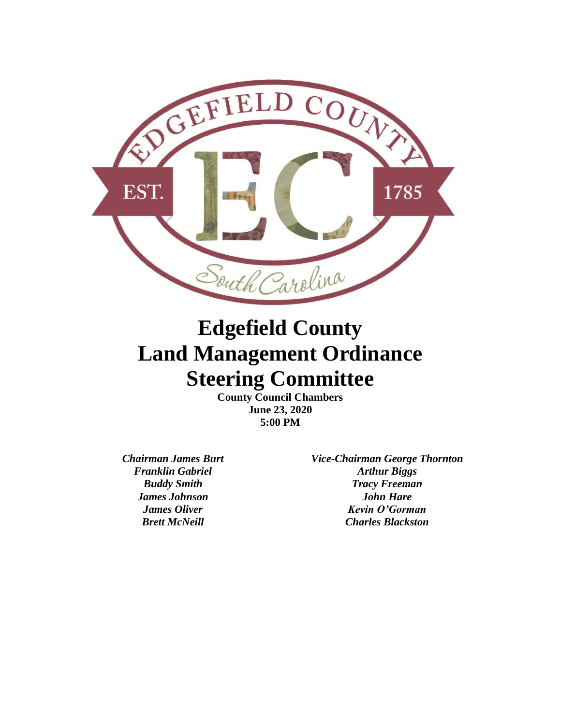

# **Edgefield County Land Management Ordinance Steering Committee**

**County Council Chambers June 23, 2020 5:00 PM**

*Chairman James Burt Vice-Chairman George Thornton Franklin Gabriel Arthur Biggs Buddy Smith Tracy Freeman James Johnson John Hare James Oliver Kevin O'Gorman Brett McNeill Charles Blackston*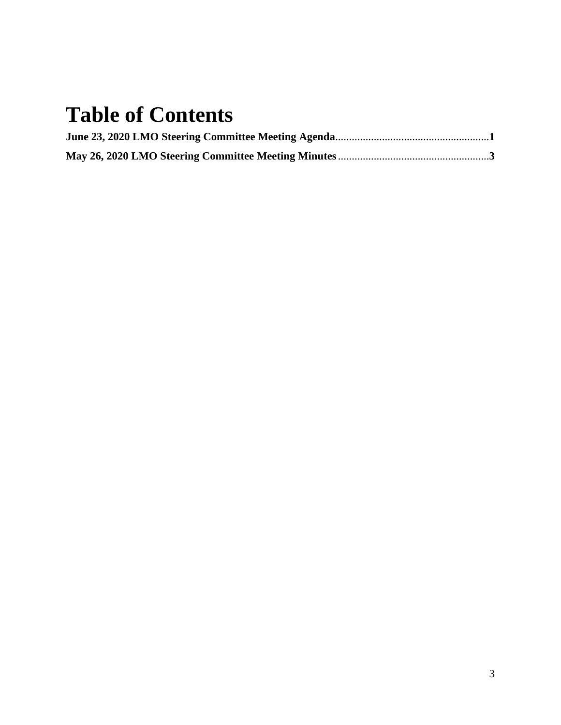# **Table of Contents**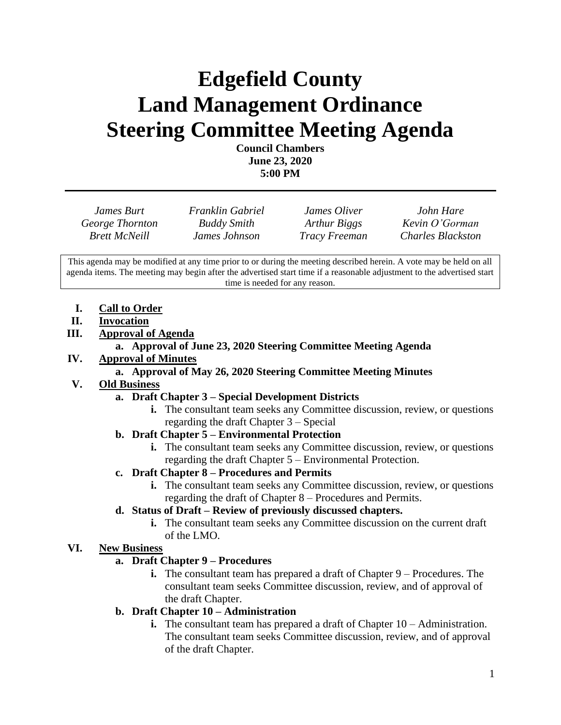# **Edgefield County Land Management Ordinance Steering Committee Meeting Agenda**

**Council Chambers June 23, 2020 5:00 PM**

| James Burt           | <b>Franklin Gabriel</b> | James Oliver         | John Hare                |
|----------------------|-------------------------|----------------------|--------------------------|
| George Thornton      | <b>Buddy Smith</b>      | Arthur Biggs         | Kevin O'Gorman           |
| <b>Brett McNeill</b> | James Johnson           | <b>Tracy Freeman</b> | <b>Charles Blackston</b> |

This agenda may be modified at any time prior to or during the meeting described herein. A vote may be held on all agenda items. The meeting may begin after the advertised start time if a reasonable adjustment to the advertised start time is needed for any reason.

- **I. Call to Order**
- **II. Invocation**
- **III. Approval of Agenda**

## **a. Approval of June 23, 2020 Steering Committee Meeting Agenda**

**IV. Approval of Minutes**

## **a. Approval of May 26, 2020 Steering Committee Meeting Minutes**

## **V. Old Business**

## **a. Draft Chapter 3 – Special Development Districts**

- **i.** The consultant team seeks any Committee discussion, review, or questions regarding the draft Chapter 3 – Special
- **b. Draft Chapter 5 – Environmental Protection**
	- **i.** The consultant team seeks any Committee discussion, review, or questions regarding the draft Chapter 5 – Environmental Protection.

## **c. Draft Chapter 8 – Procedures and Permits**

**i.** The consultant team seeks any Committee discussion, review, or questions regarding the draft of Chapter 8 – Procedures and Permits.

## **d. Status of Draft – Review of previously discussed chapters.**

**i.** The consultant team seeks any Committee discussion on the current draft of the LMO.

## **VI. New Business**

## **a. Draft Chapter 9 – Procedures**

**i.** The consultant team has prepared a draft of Chapter 9 – Procedures. The consultant team seeks Committee discussion, review, and of approval of the draft Chapter.

## **b. Draft Chapter 10 – Administration**

**i.** The consultant team has prepared a draft of Chapter 10 – Administration. The consultant team seeks Committee discussion, review, and of approval of the draft Chapter.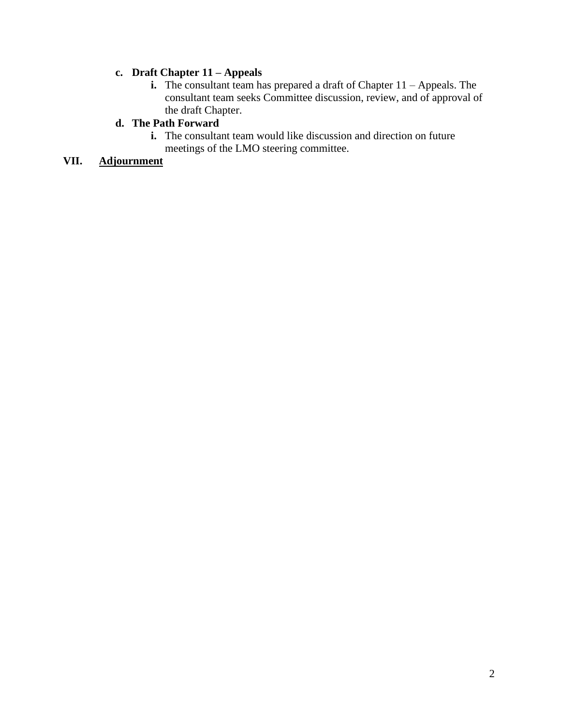## **c. Draft Chapter 11 – Appeals**

**i.** The consultant team has prepared a draft of Chapter 11 – Appeals. The consultant team seeks Committee discussion, review, and of approval of the draft Chapter.

## **d. The Path Forward**

**i.** The consultant team would like discussion and direction on future meetings of the LMO steering committee.

# **VII. Adjournment**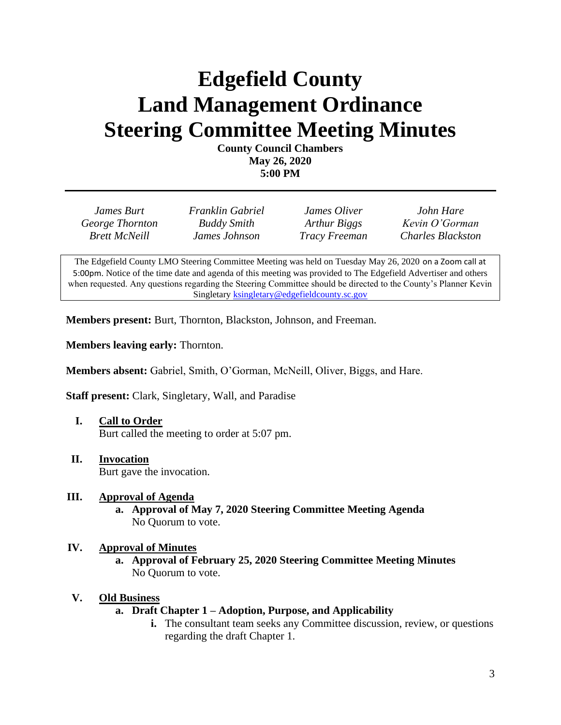# **Edgefield County Land Management Ordinance Steering Committee Meeting Minutes**

**County Council Chambers May 26, 2020 5:00 PM**

| James Burt           | Franklin Gabriel   | James Oliver         | John Hare                |
|----------------------|--------------------|----------------------|--------------------------|
| George Thornton      | <b>Buddy Smith</b> | Arthur Biggs         | Kevin O'Gorman           |
| <b>Brett McNeill</b> | James Johnson      | <b>Tracy Freeman</b> | <b>Charles Blackston</b> |

The Edgefield County LMO Steering Committee Meeting was held on Tuesday May 26, 2020 on a Zoom call at 5:00pm. Notice of the time date and agenda of this meeting was provided to The Edgefield Advertiser and others when requested. Any questions regarding the Steering Committee should be directed to the County's Planner Kevin Singletary **ksingletary@edgefieldcounty.sc.gov** 

**Members present:** Burt, Thornton, Blackston, Johnson, and Freeman.

**Members leaving early:** Thornton.

**Members absent:** Gabriel, Smith, O'Gorman, McNeill, Oliver, Biggs, and Hare.

**Staff present:** Clark, Singletary, Wall, and Paradise

- **I. Call to Order** Burt called the meeting to order at 5:07 pm.
- **II. Invocation** Burt gave the invocation.

## **III. Approval of Agenda**

**a. Approval of May 7, 2020 Steering Committee Meeting Agenda** No Quorum to vote.

#### **IV. Approval of Minutes**

**a. Approval of February 25, 2020 Steering Committee Meeting Minutes** No Quorum to vote.

#### **V. Old Business**

- **a. Draft Chapter 1 – Adoption, Purpose, and Applicability**
	- **i.** The consultant team seeks any Committee discussion, review, or questions regarding the draft Chapter 1.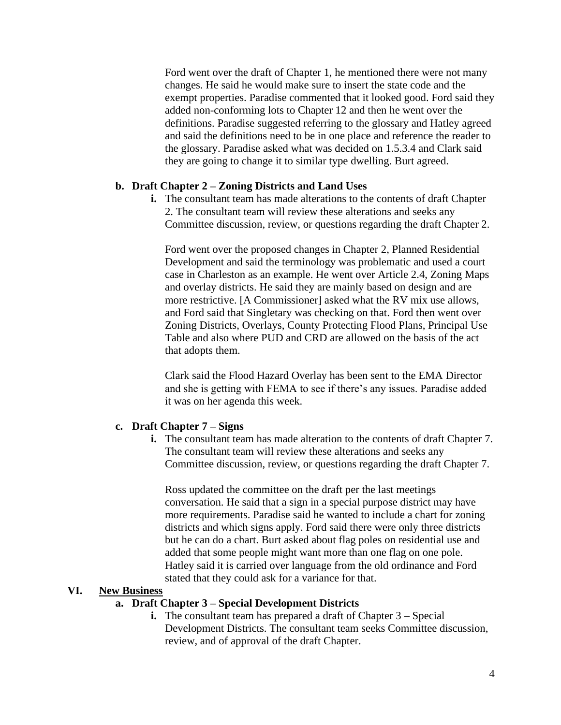Ford went over the draft of Chapter 1, he mentioned there were not many changes. He said he would make sure to insert the state code and the exempt properties. Paradise commented that it looked good. Ford said they added non-conforming lots to Chapter 12 and then he went over the definitions. Paradise suggested referring to the glossary and Hatley agreed and said the definitions need to be in one place and reference the reader to the glossary. Paradise asked what was decided on 1.5.3.4 and Clark said they are going to change it to similar type dwelling. Burt agreed.

## **b. Draft Chapter 2 – Zoning Districts and Land Uses**

**i.** The consultant team has made alterations to the contents of draft Chapter 2. The consultant team will review these alterations and seeks any Committee discussion, review, or questions regarding the draft Chapter 2.

Ford went over the proposed changes in Chapter 2, Planned Residential Development and said the terminology was problematic and used a court case in Charleston as an example. He went over Article 2.4, Zoning Maps and overlay districts. He said they are mainly based on design and are more restrictive. [A Commissioner] asked what the RV mix use allows, and Ford said that Singletary was checking on that. Ford then went over Zoning Districts, Overlays, County Protecting Flood Plans, Principal Use Table and also where PUD and CRD are allowed on the basis of the act that adopts them.

Clark said the Flood Hazard Overlay has been sent to the EMA Director and she is getting with FEMA to see if there's any issues. Paradise added it was on her agenda this week.

#### **c. Draft Chapter 7 – Signs**

**i.** The consultant team has made alteration to the contents of draft Chapter 7. The consultant team will review these alterations and seeks any Committee discussion, review, or questions regarding the draft Chapter 7.

Ross updated the committee on the draft per the last meetings conversation. He said that a sign in a special purpose district may have more requirements. Paradise said he wanted to include a chart for zoning districts and which signs apply. Ford said there were only three districts but he can do a chart. Burt asked about flag poles on residential use and added that some people might want more than one flag on one pole. Hatley said it is carried over language from the old ordinance and Ford stated that they could ask for a variance for that.

## **VI. New Business**

### **a. Draft Chapter 3 – Special Development Districts**

**i.** The consultant team has prepared a draft of Chapter 3 – Special Development Districts. The consultant team seeks Committee discussion, review, and of approval of the draft Chapter.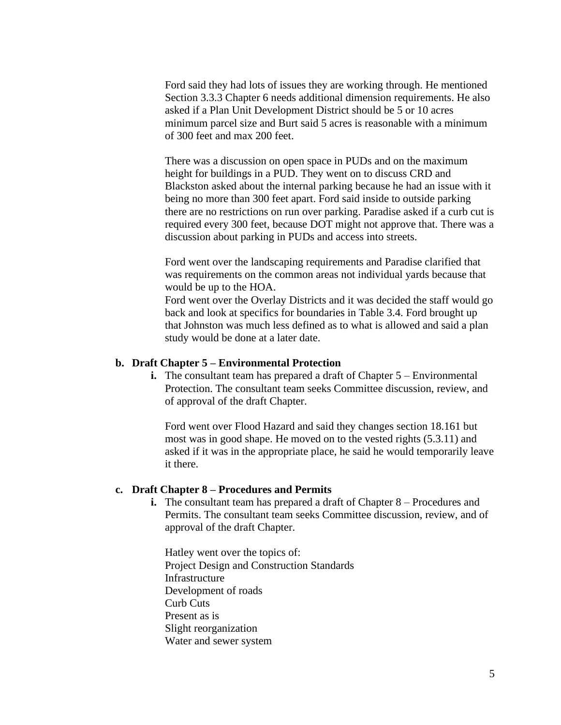Ford said they had lots of issues they are working through. He mentioned Section 3.3.3 Chapter 6 needs additional dimension requirements. He also asked if a Plan Unit Development District should be 5 or 10 acres minimum parcel size and Burt said 5 acres is reasonable with a minimum of 300 feet and max 200 feet.

There was a discussion on open space in PUDs and on the maximum height for buildings in a PUD. They went on to discuss CRD and Blackston asked about the internal parking because he had an issue with it being no more than 300 feet apart. Ford said inside to outside parking there are no restrictions on run over parking. Paradise asked if a curb cut is required every 300 feet, because DOT might not approve that. There was a discussion about parking in PUDs and access into streets.

Ford went over the landscaping requirements and Paradise clarified that was requirements on the common areas not individual yards because that would be up to the HOA.

Ford went over the Overlay Districts and it was decided the staff would go back and look at specifics for boundaries in Table 3.4. Ford brought up that Johnston was much less defined as to what is allowed and said a plan study would be done at a later date.

#### **b. Draft Chapter 5 – Environmental Protection**

**i.** The consultant team has prepared a draft of Chapter 5 – Environmental Protection. The consultant team seeks Committee discussion, review, and of approval of the draft Chapter.

Ford went over Flood Hazard and said they changes section 18.161 but most was in good shape. He moved on to the vested rights (5.3.11) and asked if it was in the appropriate place, he said he would temporarily leave it there.

### **c. Draft Chapter 8 – Procedures and Permits**

**i.** The consultant team has prepared a draft of Chapter 8 – Procedures and Permits. The consultant team seeks Committee discussion, review, and of approval of the draft Chapter.

Hatley went over the topics of: Project Design and Construction Standards Infrastructure Development of roads Curb Cuts Present as is Slight reorganization Water and sewer system